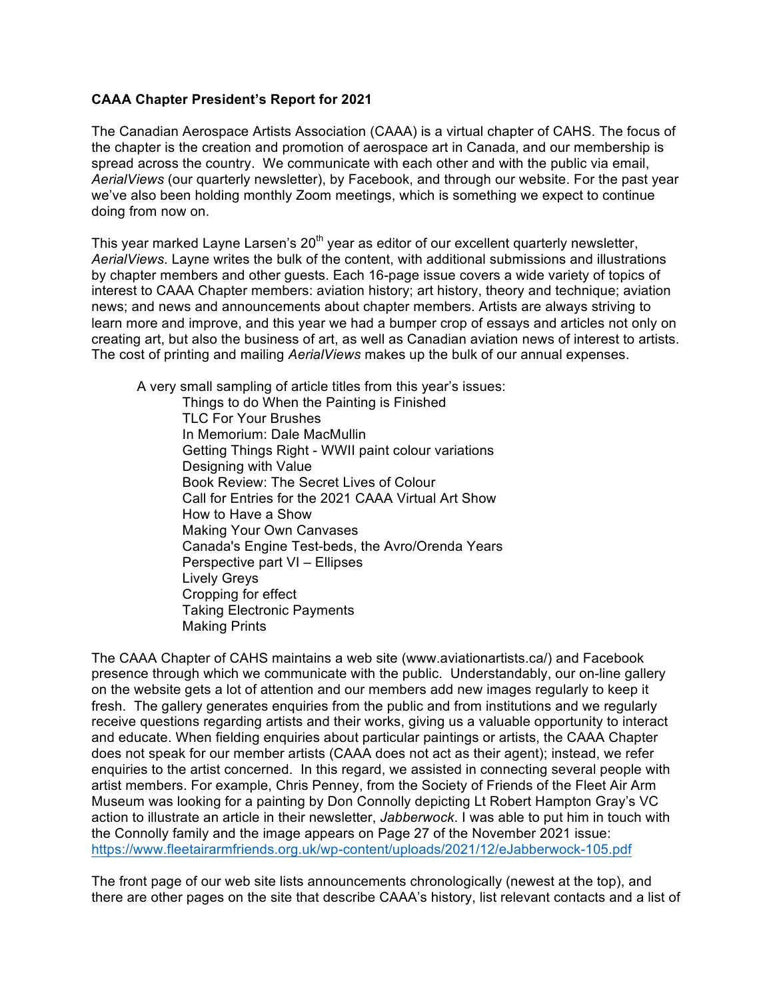## **CAAA Chapter President's Report for 2021**

The Canadian Aerospace Artists Association (CAAA) is a virtual chapter of CAHS. The focus of the chapter is the creation and promotion of aerospace art in Canada, and our membership is spread across the country. We communicate with each other and with the public via email, *AerialViews* (our quarterly newsletter), by Facebook, and through our website. For the past year we've also been holding monthly Zoom meetings, which is something we expect to continue doing from now on.

This year marked Layne Larsen's  $20<sup>th</sup>$  year as editor of our excellent quarterly newsletter, *AerialViews*. Layne writes the bulk of the content, with additional submissions and illustrations by chapter members and other guests. Each 16-page issue covers a wide variety of topics of interest to CAAA Chapter members: aviation history; art history, theory and technique; aviation news; and news and announcements about chapter members. Artists are always striving to learn more and improve, and this year we had a bumper crop of essays and articles not only on creating art, but also the business of art, as well as Canadian aviation news of interest to artists. The cost of printing and mailing *AerialViews* makes up the bulk of our annual expenses.

A very small sampling of article titles from this year's issues:

Things to do When the Painting is Finished TLC For Your Brushes In Memorium: Dale MacMullin Getting Things Right - WWII paint colour variations Designing with Value Book Review: The Secret Lives of Colour Call for Entries for the 2021 CAAA Virtual Art Show How to Have a Show Making Your Own Canvases Canada's Engine Test-beds, the Avro/Orenda Years Perspective part VI – Ellipses Lively Greys Cropping for effect Taking Electronic Payments Making Prints

The CAAA Chapter of CAHS maintains a web site (www.aviationartists.ca/) and Facebook presence through which we communicate with the public. Understandably, our on-line gallery on the website gets a lot of attention and our members add new images regularly to keep it fresh. The gallery generates enquiries from the public and from institutions and we regularly receive questions regarding artists and their works, giving us a valuable opportunity to interact and educate. When fielding enquiries about particular paintings or artists, the CAAA Chapter does not speak for our member artists (CAAA does not act as their agent); instead, we refer enquiries to the artist concerned. In this regard, we assisted in connecting several people with artist members. For example, Chris Penney, from the Society of Friends of the Fleet Air Arm Museum was looking for a painting by Don Connolly depicting Lt Robert Hampton Gray's VC action to illustrate an article in their newsletter, *Jabberwock*. I was able to put him in touch with the Connolly family and the image appears on Page 27 of the November 2021 issue: https://www.fleetairarmfriends.org.uk/wp-content/uploads/2021/12/eJabberwock-105.pdf

The front page of our web site lists announcements chronologically (newest at the top), and there are other pages on the site that describe CAAA's history, list relevant contacts and a list of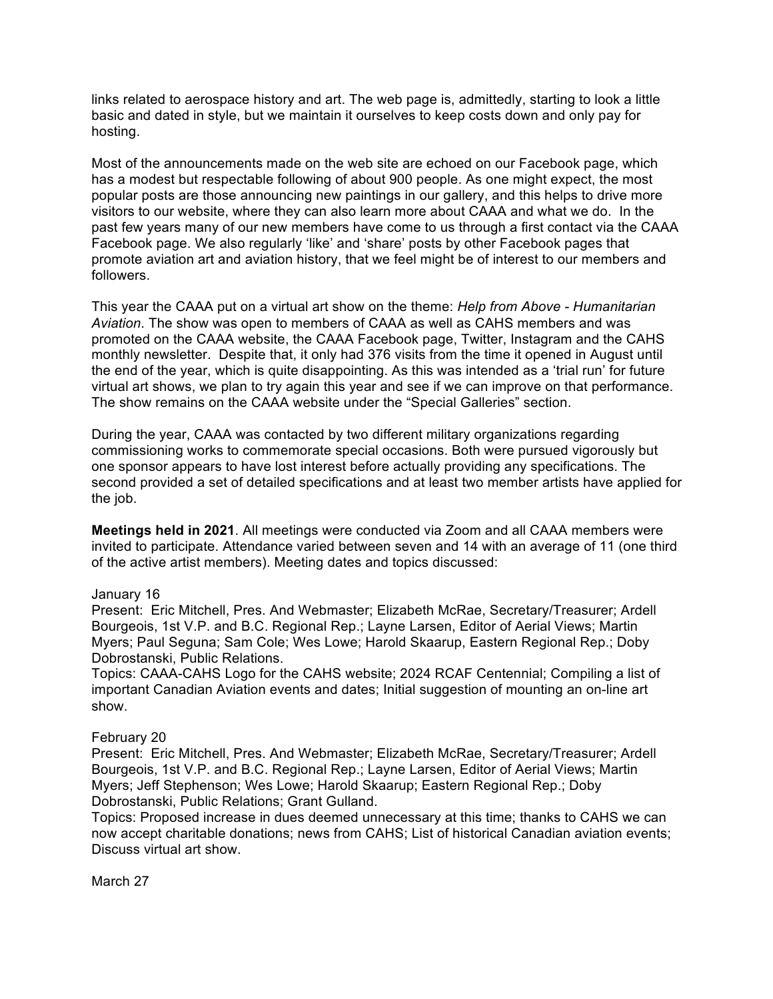links related to aerospace history and art. The web page is, admittedly, starting to look a little basic and dated in style, but we maintain it ourselves to keep costs down and only pay for hosting.

Most of the announcements made on the web site are echoed on our Facebook page, which has a modest but respectable following of about 900 people. As one might expect, the most popular posts are those announcing new paintings in our gallery, and this helps to drive more visitors to our website, where they can also learn more about CAAA and what we do. In the past few years many of our new members have come to us through a first contact via the CAAA Facebook page. We also regularly 'like' and 'share' posts by other Facebook pages that promote aviation art and aviation history, that we feel might be of interest to our members and followers.

This year the CAAA put on a virtual art show on the theme: *Help from Above - Humanitarian Aviation*. The show was open to members of CAAA as well as CAHS members and was promoted on the CAAA website, the CAAA Facebook page, Twitter, Instagram and the CAHS monthly newsletter. Despite that, it only had 376 visits from the time it opened in August until the end of the year, which is quite disappointing. As this was intended as a 'trial run' for future virtual art shows, we plan to try again this year and see if we can improve on that performance. The show remains on the CAAA website under the "Special Galleries" section.

During the year, CAAA was contacted by two different military organizations regarding commissioning works to commemorate special occasions. Both were pursued vigorously but one sponsor appears to have lost interest before actually providing any specifications. The second provided a set of detailed specifications and at least two member artists have applied for the job.

**Meetings held in 2021**. All meetings were conducted via Zoom and all CAAA members were invited to participate. Attendance varied between seven and 14 with an average of 11 (one third of the active artist members). Meeting dates and topics discussed:

#### January 16

Present: Eric Mitchell, Pres. And Webmaster; Elizabeth McRae, Secretary/Treasurer; Ardell Bourgeois, 1st V.P. and B.C. Regional Rep.; Layne Larsen, Editor of Aerial Views; Martin Myers; Paul Seguna; Sam Cole; Wes Lowe; Harold Skaarup, Eastern Regional Rep.; Doby Dobrostanski, Public Relations.

Topics: CAAA-CAHS Logo for the CAHS website; 2024 RCAF Centennial; Compiling a list of important Canadian Aviation events and dates; Initial suggestion of mounting an on-line art show.

# February 20

Present: Eric Mitchell, Pres. And Webmaster; Elizabeth McRae, Secretary/Treasurer; Ardell Bourgeois, 1st V.P. and B.C. Regional Rep.; Layne Larsen, Editor of Aerial Views; Martin Myers; Jeff Stephenson; Wes Lowe; Harold Skaarup; Eastern Regional Rep.; Doby Dobrostanski, Public Relations; Grant Gulland.

Topics: Proposed increase in dues deemed unnecessary at this time; thanks to CAHS we can now accept charitable donations; news from CAHS; List of historical Canadian aviation events; Discuss virtual art show.

March 27